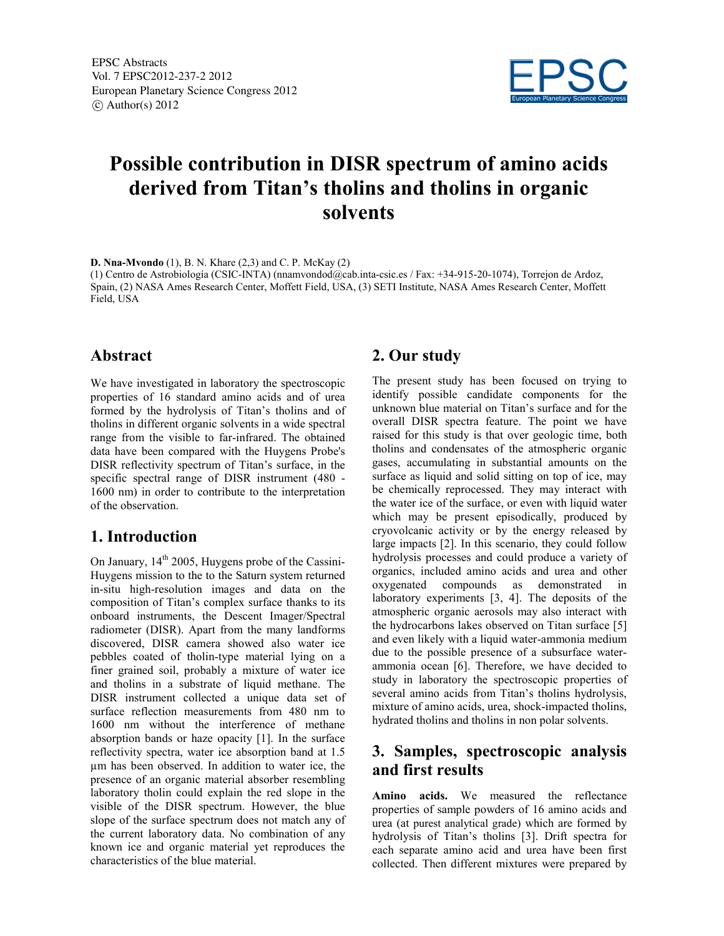

# Possible contribution in DISR spectrum of amino acids derived from Titan's tholins and tholins in organic solvents

D. Nna-Mvondo (1), B. N. Khare (2,3) and C. P. McKay (2)

(1) Centro de Astrobiología (CSIC-INTA) (nnamvondod@cab.inta-csic.es / Fax: +34-915-20-1074), Torrejon de Ardoz, Spain, (2) NASA Ames Research Center, Moffett Field, USA, (3) SETI Institute, NASA Ames Research Center, Moffett Field, USA

### Abstract

We have investigated in laboratory the spectroscopic properties of 16 standard amino acids and of urea formed by the hydrolysis of Titan's tholins and of tholins in different organic solvents in a wide spectral range from the visible to far-infrared. The obtained data have been compared with the Huygens Probe's DISR reflectivity spectrum of Titan's surface, in the specific spectral range of DISR instrument (480 - 1600 nm) in order to contribute to the interpretation of the observation.

## 1. Introduction

On January,  $14<sup>th</sup>$  2005, Huygens probe of the Cassini-Huygens mission to the to the Saturn system returned in-situ high-resolution images and data on the composition of Titan's complex surface thanks to its onboard instruments, the Descent Imager/Spectral radiometer (DISR). Apart from the many landforms discovered, DISR camera showed also water ice pebbles coated of tholin-type material lying on a finer grained soil, probably a mixture of water ice and tholins in a substrate of liquid methane. The DISR instrument collected a unique data set of surface reflection measurements from 480 nm to 1600 nm without the interference of methane absorption bands or haze opacity [1]. In the surface reflectivity spectra, water ice absorption band at 1.5 µm has been observed. In addition to water ice, the presence of an organic material absorber resembling laboratory tholin could explain the red slope in the visible of the DISR spectrum. However, the blue slope of the surface spectrum does not match any of the current laboratory data. No combination of any known ice and organic material yet reproduces the characteristics of the blue material.

# 2. Our study

The present study has been focused on trying to identify possible candidate components for the unknown blue material on Titan's surface and for the overall DISR spectra feature. The point we have raised for this study is that over geologic time, both tholins and condensates of the atmospheric organic gases, accumulating in substantial amounts on the surface as liquid and solid sitting on top of ice, may be chemically reprocessed. They may interact with the water ice of the surface, or even with liquid water which may be present episodically, produced by cryovolcanic activity or by the energy released by large impacts [2]. In this scenario, they could follow hydrolysis processes and could produce a variety of organics, included amino acids and urea and other oxygenated compounds as demonstrated in laboratory experiments [3, 4]. The deposits of the atmospheric organic aerosols may also interact with the hydrocarbons lakes observed on Titan surface [5] and even likely with a liquid water-ammonia medium due to the possible presence of a subsurface waterammonia ocean [6]. Therefore, we have decided to study in laboratory the spectroscopic properties of several amino acids from Titan's tholins hydrolysis, mixture of amino acids, urea, shock-impacted tholins, hydrated tholins and tholins in non polar solvents.

# 3. Samples, spectroscopic analysis and first results

Amino acids. We measured the reflectance properties of sample powders of 16 amino acids and urea (at purest analytical grade) which are formed by hydrolysis of Titan's tholins [3]. Drift spectra for each separate amino acid and urea have been first collected. Then different mixtures were prepared by